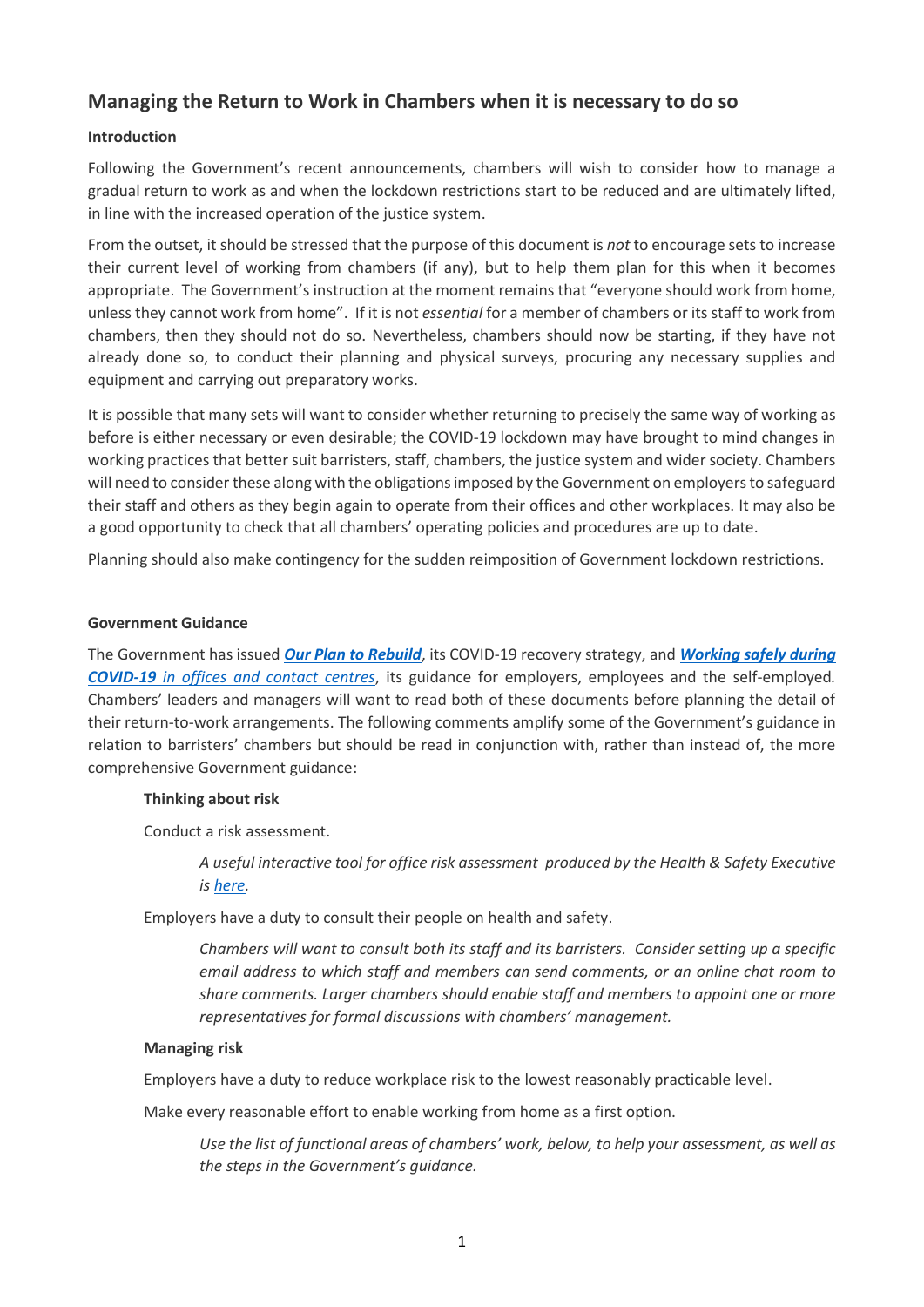# **Managing the Return to Work in Chambers when it is necessary to do so**

# **Introduction**

Following the Government's recent announcements, chambers will wish to consider how to manage a gradual return to work as and when the lockdown restrictions start to be reduced and are ultimately lifted, in line with the increased operation of the justice system.

From the outset, it should be stressed that the purpose of this document is *not* to encourage sets to increase their current level of working from chambers (if any), but to help them plan for this when it becomes appropriate. The Government's instruction at the moment remains that "everyone should work from home, unless they cannot work from home". If it is not *essential* for a member of chambers or its staff to work from chambers, then they should not do so. Nevertheless, chambers should now be starting, if they have not already done so, to conduct their planning and physical surveys, procuring any necessary supplies and equipment and carrying out preparatory works.

It is possible that many sets will want to consider whether returning to precisely the same way of working as before is either necessary or even desirable; the COVID-19 lockdown may have brought to mind changes in working practices that better suit barristers, staff, chambers, the justice system and wider society. Chambers will need to consider these along with the obligations imposed by the Government on employers to safeguard their staff and others as they begin again to operate from their offices and other workplaces. It may also be a good opportunity to check that all chambers' operating policies and procedures are up to date.

Planning should also make contingency for the sudden reimposition of Government lockdown restrictions.

## **Government Guidance**

The Government has issued *[Our Plan to Rebuild](https://assets.publishing.service.gov.uk/government/uploads/system/uploads/attachment_data/file/884171/FINAL_6.6637_CO_HMG_C19_Recovery_FINAL_110520_v2_WEB__1_.pdf)*, its COVID-19 recovery strategy, and *[Working safely during](https://assets.publishing.service.gov.uk/media/5eb97e7686650c278d4496ea/working-safely-during-covid-19-offices-contact-centres-update-11-may.pdf)  COVID-19 [in offices and contact centres](https://assets.publishing.service.gov.uk/media/5eb97e7686650c278d4496ea/working-safely-during-covid-19-offices-contact-centres-update-11-may.pdf)*, its guidance for employers, employees and the self-employed*.* Chambers' leaders and managers will want to read both of these documents before planning the detail of their return-to-work arrangements. The following comments amplify some of the Government's guidance in relation to barristers' chambers but should be read in conjunction with, rather than instead of, the more comprehensive Government guidance:

## **Thinking about risk**

Conduct a risk assessment.

*A useful interactive tool for office risk assessment produced by the Health & Safety Executive is [here.](https://www.hse.gov.uk/risk/office.htm)*

Employers have a duty to consult their people on health and safety.

*Chambers will want to consult both its staff and its barristers. Consider setting up a specific email address to which staff and members can send comments, or an online chat room to share comments. Larger chambers should enable staff and members to appoint one or more representatives for formal discussions with chambers' management.*

## **Managing risk**

Employers have a duty to reduce workplace risk to the lowest reasonably practicable level.

Make every reasonable effort to enable working from home as a first option.

*Use the list of functional areas of chambers' work, below, to help your assessment, as well as the steps in the Government's guidance.*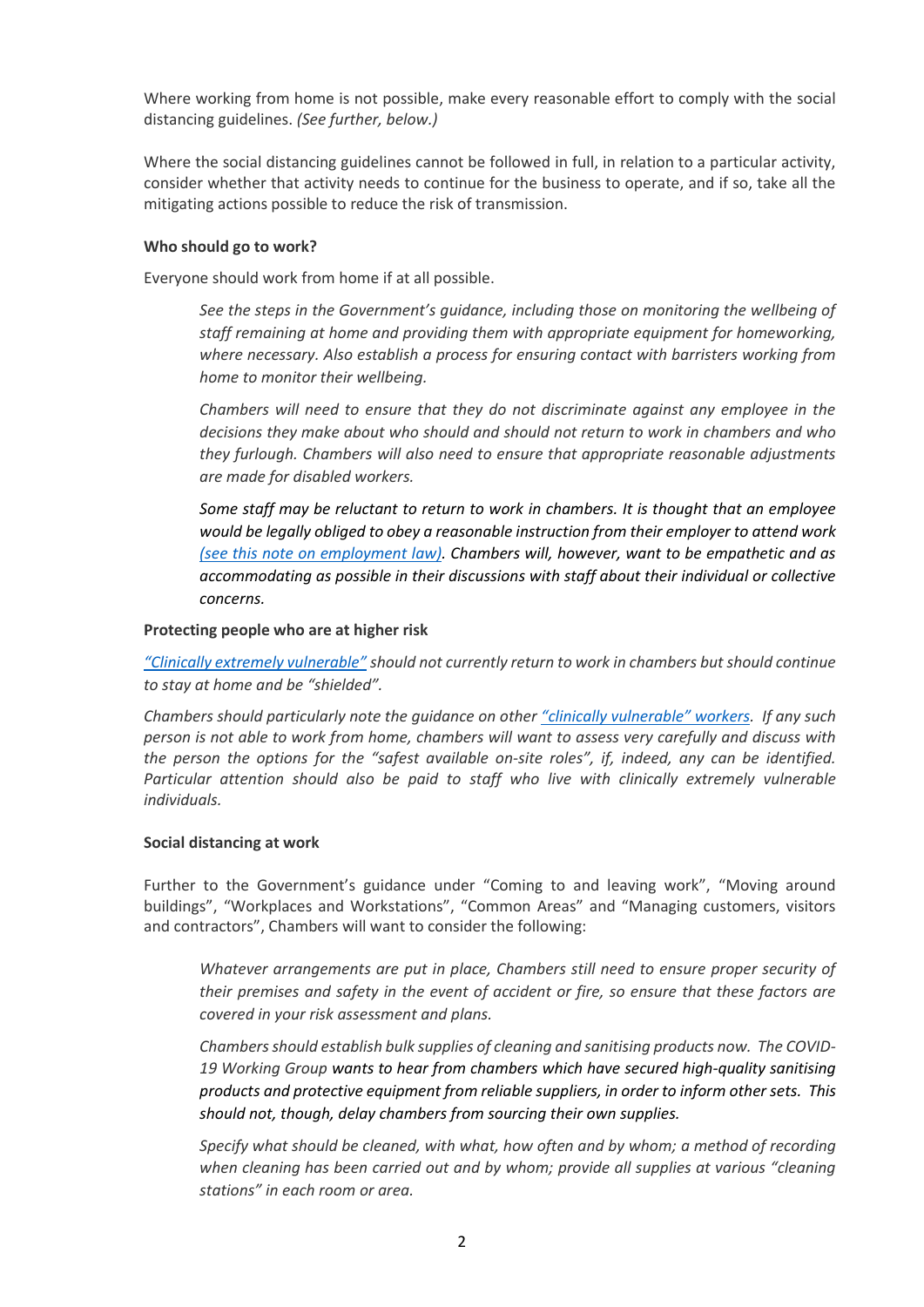Where working from home is not possible, make every reasonable effort to comply with the social distancing guidelines. *(See further, below.)*

Where the social distancing guidelines cannot be followed in full, in relation to a particular activity, consider whether that activity needs to continue for the business to operate, and if so, take all the mitigating actions possible to reduce the risk of transmission.

## **Who should go to work?**

Everyone should work from home if at all possible.

*See the steps in the Government's guidance, including those on monitoring the wellbeing of staff remaining at home and providing them with appropriate equipment for homeworking, where necessary. Also establish a process for ensuring contact with barristers working from home to monitor their wellbeing.*

*Chambers will need to ensure that they do not discriminate against any employee in the decisions they make about who should and should not return to work in chambers and who they furlough. Chambers will also need to ensure that appropriate reasonable adjustments are made for disabled workers.*

*Some staff may be reluctant to return to work in chambers. It is thought that an employee would be legally obliged to obey a reasonable instruction from their employer to attend work [\(see this note on employment law\).](https://littletonchambers.com/articles-webinars/john-bowers-qcs-employment-law-blog-disobeying-reasonable-instructions/) Chambers will, however, want to be empathetic and as accommodating as possible in their discussions with staff about their individual or collective concerns.*

## **Protecting people who are at higher risk**

*"Clinically [extremely vulnerable"](https://www.gov.uk/government/publications/guidance-on-shielding-and-protecting-extremely-vulnerable-persons-from-covid-19/guidance-on-shielding-and-protecting-extremely-vulnerable-persons-from-covid-19#who-is-clinically-extremely-vulnerable) should not currently return to work in chambers but should continue to stay at home and be "shielded".*

*Chambers should particularly note the guidance on other "clinically [vulnerable](https://www.gov.uk/government/publications/full-guidance-on-staying-at-home-and-away-from-others/full-guidance-on-staying-at-home-and-away-from-others#eel-decline)" workers. If any such person is not able to work from home, chambers will want to assess very carefully and discuss with the person the options for the "safest available on-site roles", if, indeed, any can be identified. Particular attention should also be paid to staff who live with clinically extremely vulnerable individuals.*

## **Social distancing at work**

Further to the Government's guidance under "Coming to and leaving work", "Moving around buildings", "Workplaces and Workstations", "Common Areas" and "Managing customers, visitors and contractors", Chambers will want to consider the following:

*Whatever arrangements are put in place, Chambers still need to ensure proper security of their premises and safety in the event of accident or fire, so ensure that these factors are covered in your risk assessment and plans.*

*Chambers should establish bulk supplies of cleaning and sanitising products now. The COVID-19 Working Group wants to hear from chambers which have secured high-quality sanitising products and protective equipment from reliable suppliers, in order to inform other sets. This should not, though, delay chambers from sourcing their own supplies.*

*Specify what should be cleaned, with what, how often and by whom; a method of recording when cleaning has been carried out and by whom; provide all supplies at various "cleaning stations" in each room or area.*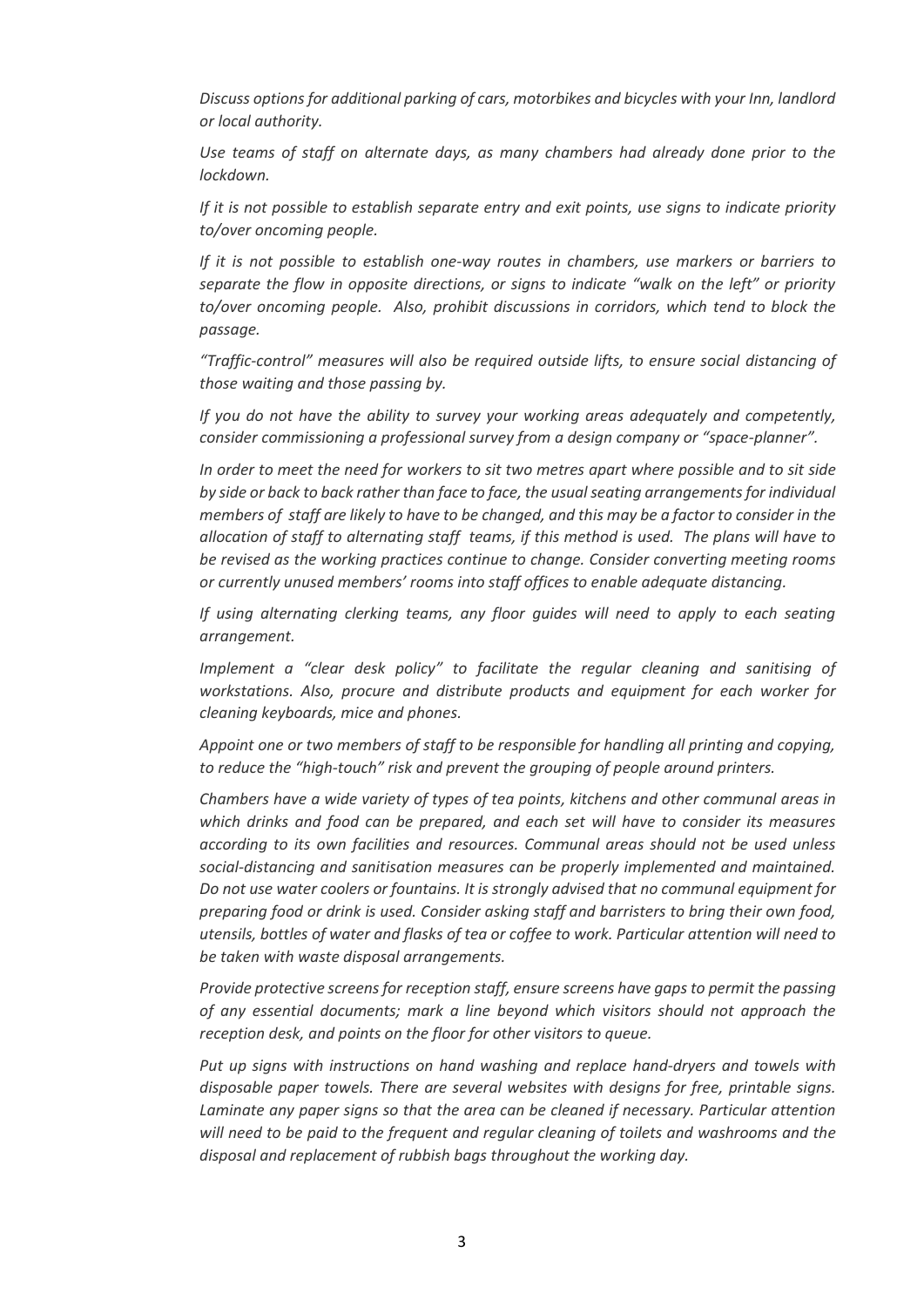*Discuss options for additional parking of cars, motorbikes and bicycles with your Inn, landlord or local authority.*

*Use teams of staff on alternate days, as many chambers had already done prior to the lockdown.*

*If it is not possible to establish separate entry and exit points, use signs to indicate priority to/over oncoming people.*

*If it is not possible to establish one-way routes in chambers, use markers or barriers to separate the flow in opposite directions, or signs to indicate "walk on the left" or priority to/over oncoming people. Also, prohibit discussions in corridors, which tend to block the passage.*

*"Traffic-control" measures will also be required outside lifts, to ensure social distancing of those waiting and those passing by.*

*If you do not have the ability to survey your working areas adequately and competently, consider commissioning a professional survey from a design company or "space-planner".*

*In order to meet the need for workers to sit two metres apart where possible and to sit side by side or back to back rather than face to face, the usual seating arrangements for individual members of staff are likely to have to be changed, and this may be a factor to consider in the allocation of staff to alternating staff teams, if this method is used. The plans will have to be revised as the working practices continue to change. Consider converting meeting rooms or currently unused members' rooms into staff offices to enable adequate distancing.*

*If using alternating clerking teams, any floor guides will need to apply to each seating arrangement.*

*Implement a "clear desk policy" to facilitate the regular cleaning and sanitising of workstations. Also, procure and distribute products and equipment for each worker for cleaning keyboards, mice and phones.*

*Appoint one or two members of staff to be responsible for handling all printing and copying, to reduce the "high-touch" risk and prevent the grouping of people around printers.*

*Chambers have a wide variety of types of tea points, kitchens and other communal areas in which drinks and food can be prepared, and each set will have to consider its measures according to its own facilities and resources. Communal areas should not be used unless social-distancing and sanitisation measures can be properly implemented and maintained. Do not use water coolers or fountains. It is strongly advised that no communal equipment for preparing food or drink is used. Consider asking staff and barristers to bring their own food, utensils, bottles of water and flasks of tea or coffee to work. Particular attention will need to be taken with waste disposal arrangements.* 

*Provide protective screens for reception staff, ensure screens have gaps to permit the passing of any essential documents; mark a line beyond which visitors should not approach the reception desk, and points on the floor for other visitors to queue.*

*Put up signs with instructions on hand washing and replace hand-dryers and towels with disposable paper towels. There are several websites with designs for free, printable signs. Laminate any paper signs so that the area can be cleaned if necessary. Particular attention will need to be paid to the frequent and regular cleaning of toilets and washrooms and the disposal and replacement of rubbish bags throughout the working day.*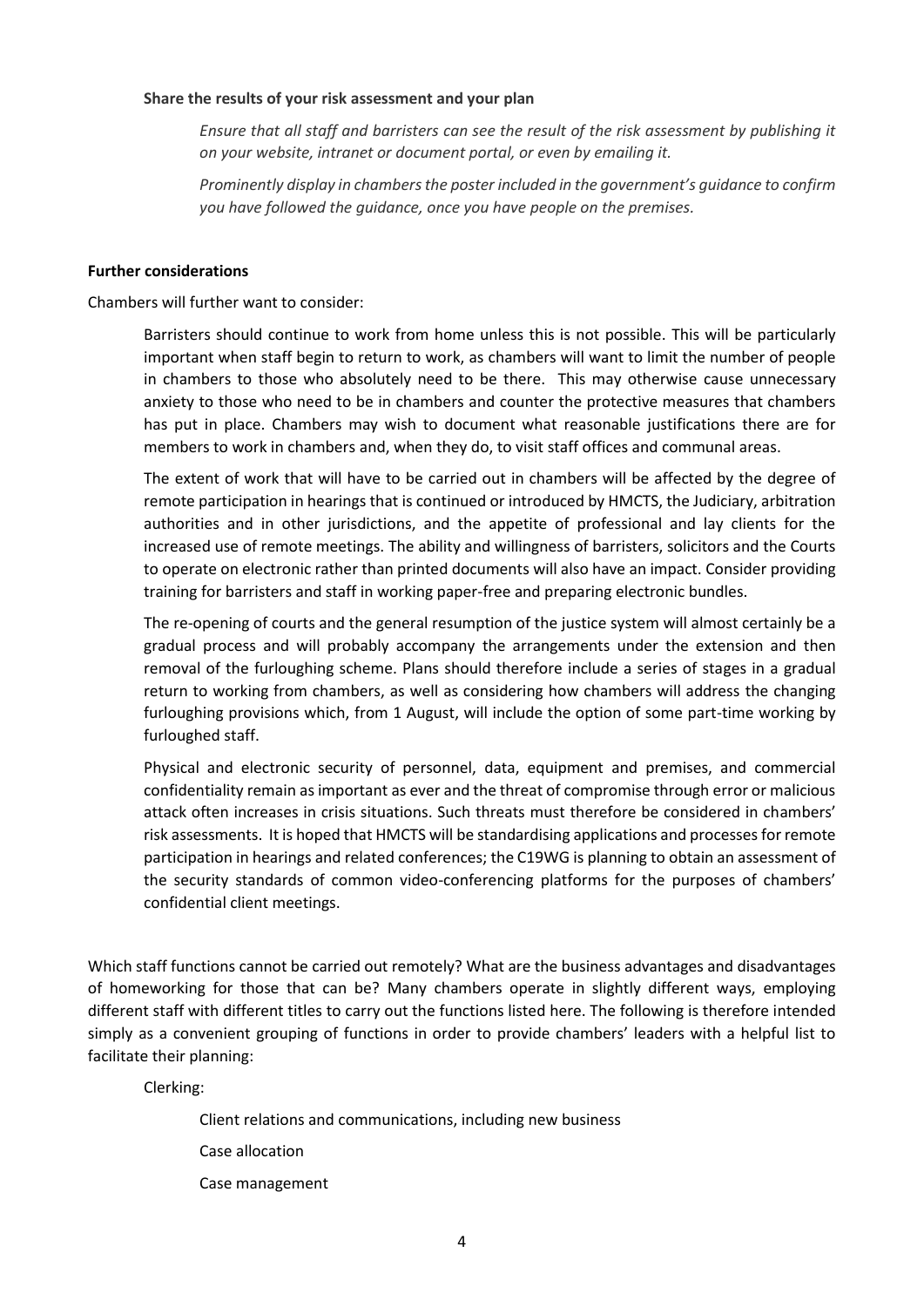## **Share the results of your risk assessment and your plan**

*Ensure that all staff and barristers can see the result of the risk assessment by publishing it on your website, intranet or document portal, or even by emailing it.*

*Prominently display in chambers the poster included in the government's guidance to confirm you have followed the guidance, once you have people on the premises.*

## **Further considerations**

Chambers will further want to consider:

Barristers should continue to work from home unless this is not possible. This will be particularly important when staff begin to return to work, as chambers will want to limit the number of people in chambers to those who absolutely need to be there. This may otherwise cause unnecessary anxiety to those who need to be in chambers and counter the protective measures that chambers has put in place. Chambers may wish to document what reasonable justifications there are for members to work in chambers and, when they do, to visit staff offices and communal areas.

The extent of work that will have to be carried out in chambers will be affected by the degree of remote participation in hearings that is continued or introduced by HMCTS, the Judiciary, arbitration authorities and in other jurisdictions, and the appetite of professional and lay clients for the increased use of remote meetings. The ability and willingness of barristers, solicitors and the Courts to operate on electronic rather than printed documents will also have an impact. Consider providing training for barristers and staff in working paper-free and preparing electronic bundles.

The re-opening of courts and the general resumption of the justice system will almost certainly be a gradual process and will probably accompany the arrangements under the extension and then removal of the furloughing scheme. Plans should therefore include a series of stages in a gradual return to working from chambers, as well as considering how chambers will address the changing furloughing provisions which, from 1 August, will include the option of some part-time working by furloughed staff.

Physical and electronic security of personnel, data, equipment and premises, and commercial confidentiality remain as important as ever and the threat of compromise through error or malicious attack often increases in crisis situations. Such threats must therefore be considered in chambers' risk assessments. It is hoped that HMCTS will be standardising applications and processes for remote participation in hearings and related conferences; the C19WG is planning to obtain an assessment of the security standards of common video-conferencing platforms for the purposes of chambers' confidential client meetings.

Which staff functions cannot be carried out remotely? What are the business advantages and disadvantages of homeworking for those that can be? Many chambers operate in slightly different ways, employing different staff with different titles to carry out the functions listed here. The following is therefore intended simply as a convenient grouping of functions in order to provide chambers' leaders with a helpful list to facilitate their planning:

Clerking:

Client relations and communications, including new business

Case allocation

Case management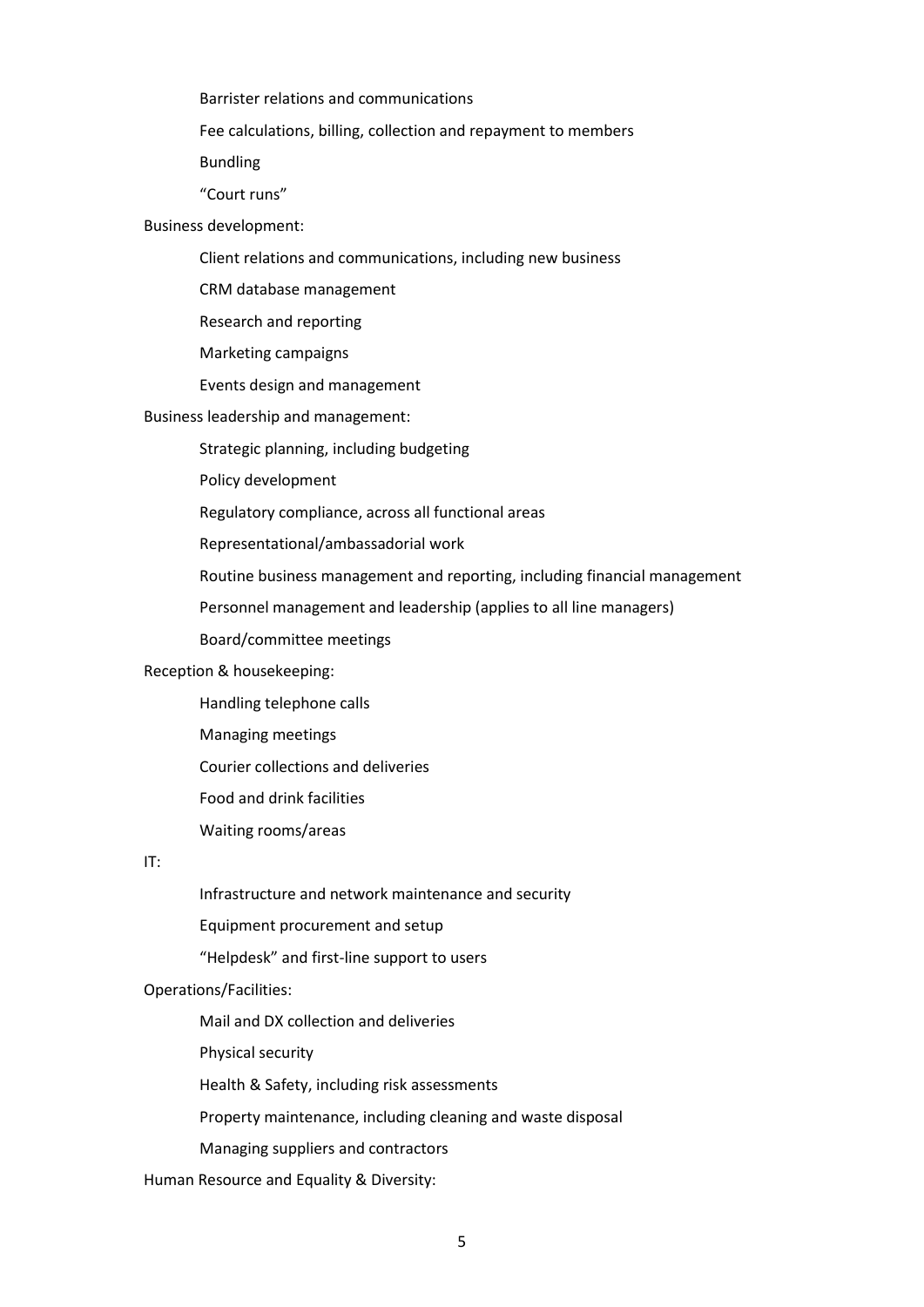Barrister relations and communications

Fee calculations, billing, collection and repayment to members

Bundling

"Court runs"

Business development:

Client relations and communications, including new business

CRM database management

Research and reporting

Marketing campaigns

Events design and management

#### Business leadership and management:

Strategic planning, including budgeting

Policy development

Regulatory compliance, across all functional areas

Representational/ambassadorial work

Routine business management and reporting, including financial management

Personnel management and leadership (applies to all line managers)

Board/committee meetings

## Reception & housekeeping:

Handling telephone calls

Managing meetings

Courier collections and deliveries

Food and drink facilities

Waiting rooms/areas

### IT:

Infrastructure and network maintenance and security

Equipment procurement and setup

"Helpdesk" and first-line support to users

## Operations/Facilities:

Mail and DX collection and deliveries

Physical security

Health & Safety, including risk assessments

Property maintenance, including cleaning and waste disposal

Managing suppliers and contractors

Human Resource and Equality & Diversity: